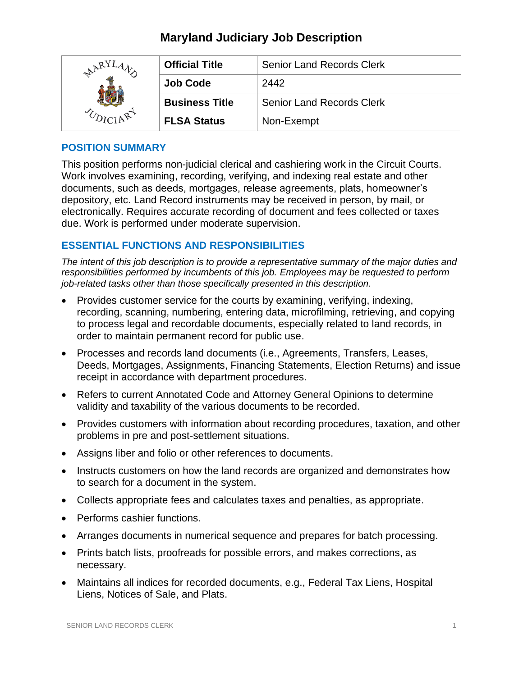# **Maryland Judiciary Job Description**

| ARY | <b>Official Title</b> | <b>Senior Land Records Clerk</b> |
|-----|-----------------------|----------------------------------|
|     | <b>Job Code</b>       | 2442                             |
|     | <b>Business Title</b> | <b>Senior Land Records Clerk</b> |
|     | <b>FLSA Status</b>    | Non-Exempt                       |

# **POSITION SUMMARY**

This position performs non-judicial clerical and cashiering work in the Circuit Courts. Work involves examining, recording, verifying, and indexing real estate and other documents, such as deeds, mortgages, release agreements, plats, homeowner's depository, etc. Land Record instruments may be received in person, by mail, or electronically. Requires accurate recording of document and fees collected or taxes due. Work is performed under moderate supervision.

# **ESSENTIAL FUNCTIONS AND RESPONSIBILITIES**

*The intent of this job description is to provide a representative summary of the major duties and responsibilities performed by incumbents of this job. Employees may be requested to perform job-related tasks other than those specifically presented in this description.*

- Provides customer service for the courts by examining, verifying, indexing, recording, scanning, numbering, entering data, microfilming, retrieving, and copying to process legal and recordable documents, especially related to land records, in order to maintain permanent record for public use.
- Processes and records land documents (i.e., Agreements, Transfers, Leases, Deeds, Mortgages, Assignments, Financing Statements, Election Returns) and issue receipt in accordance with department procedures.
- Refers to current Annotated Code and Attorney General Opinions to determine validity and taxability of the various documents to be recorded.
- Provides customers with information about recording procedures, taxation, and other problems in pre and post-settlement situations.
- Assigns liber and folio or other references to documents.
- Instructs customers on how the land records are organized and demonstrates how to search for a document in the system.
- Collects appropriate fees and calculates taxes and penalties, as appropriate.
- Performs cashier functions.
- Arranges documents in numerical sequence and prepares for batch processing.
- Prints batch lists, proofreads for possible errors, and makes corrections, as necessary.
- Maintains all indices for recorded documents, e.g., Federal Tax Liens, Hospital Liens, Notices of Sale, and Plats.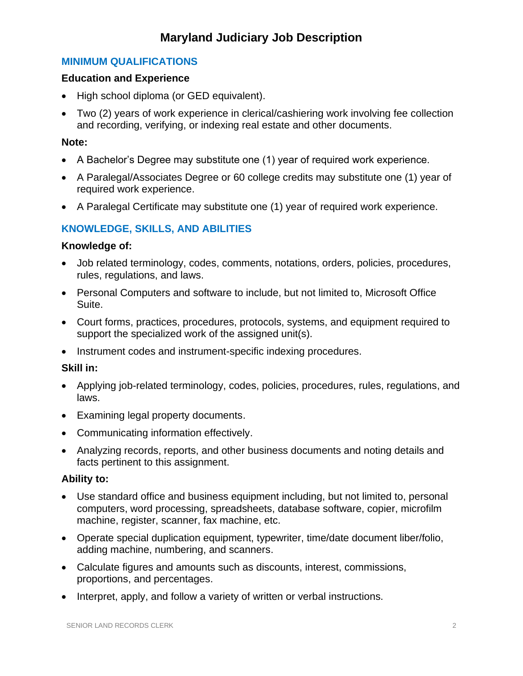# **Maryland Judiciary Job Description**

# **MINIMUM QUALIFICATIONS**

## **Education and Experience**

- High school diploma (or GED equivalent).
- Two (2) years of work experience in clerical/cashiering work involving fee collection and recording, verifying, or indexing real estate and other documents.

## **Note:**

- A Bachelor's Degree may substitute one (1) year of required work experience.
- A Paralegal/Associates Degree or 60 college credits may substitute one (1) year of required work experience.
- A Paralegal Certificate may substitute one (1) year of required work experience.

# **KNOWLEDGE, SKILLS, AND ABILITIES**

#### **Knowledge of:**

- Job related terminology, codes, comments, notations, orders, policies, procedures, rules, regulations, and laws.
- Personal Computers and software to include, but not limited to, Microsoft Office Suite.
- Court forms, practices, procedures, protocols, systems, and equipment required to support the specialized work of the assigned unit(s).
- Instrument codes and instrument-specific indexing procedures.

## **Skill in:**

- Applying job-related terminology, codes, policies, procedures, rules, regulations, and laws.
- Examining legal property documents.
- Communicating information effectively.
- Analyzing records, reports, and other business documents and noting details and facts pertinent to this assignment.

## **Ability to:**

- Use standard office and business equipment including, but not limited to, personal computers, word processing, spreadsheets, database software, copier, microfilm machine, register, scanner, fax machine, etc.
- Operate special duplication equipment, typewriter, time/date document liber/folio, adding machine, numbering, and scanners.
- Calculate figures and amounts such as discounts, interest, commissions, proportions, and percentages.
- Interpret, apply, and follow a variety of written or verbal instructions.